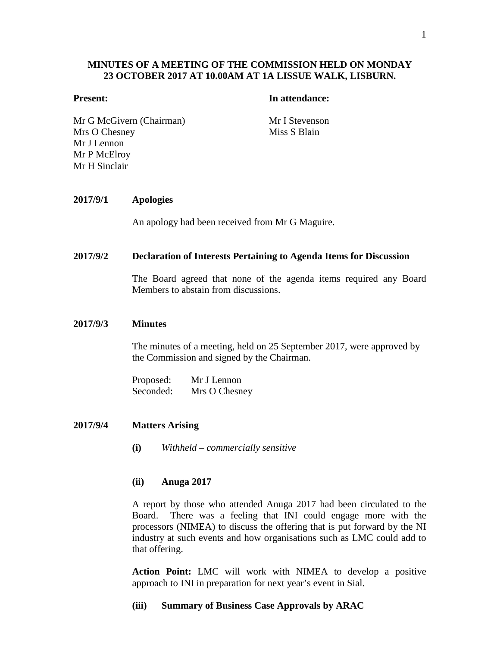# **MINUTES OF A MEETING OF THE COMMISSION HELD ON MONDAY 23 OCTOBER 2017 AT 10.00AM AT 1A LISSUE WALK, LISBURN.**

#### **Present: In attendance:**

Mr G McGivern (Chairman) Mr I Stevenson Mrs O Chesney Mr J Lennon Mr P McElroy Mr H Sinclair

Miss S Blain

## **2017/9/1 Apologies**

An apology had been received from Mr G Maguire.

#### **2017/9/2 Declaration of Interests Pertaining to Agenda Items for Discussion**

The Board agreed that none of the agenda items required any Board Members to abstain from discussions.

#### **2017/9/3 Minutes**

The minutes of a meeting, held on 25 September 2017, were approved by the Commission and signed by the Chairman.

| Proposed: | Mr J Lennon   |
|-----------|---------------|
| Seconded: | Mrs O Chesney |

#### **2017/9/4 Matters Arising**

**(i)** *Withheld – commercially sensitive*

#### **(ii) Anuga 2017**

A report by those who attended Anuga 2017 had been circulated to the Board. There was a feeling that INI could engage more with the processors (NIMEA) to discuss the offering that is put forward by the NI industry at such events and how organisations such as LMC could add to that offering.

**Action Point:** LMC will work with NIMEA to develop a positive approach to INI in preparation for next year's event in Sial.

#### **(iii) Summary of Business Case Approvals by ARAC**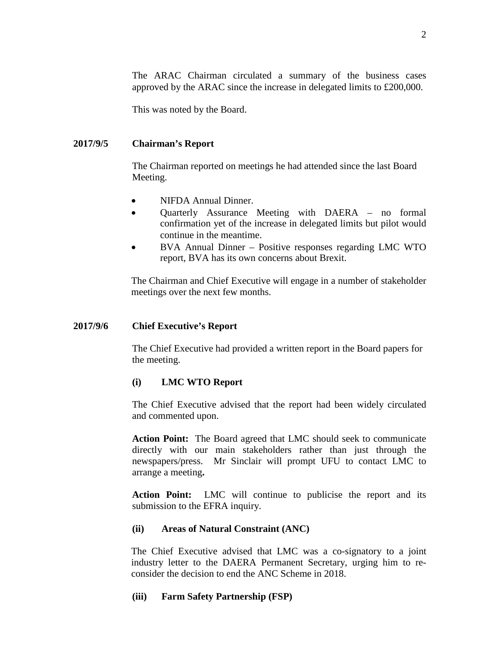The ARAC Chairman circulated a summary of the business cases approved by the ARAC since the increase in delegated limits to £200,000.

This was noted by the Board.

# **2017/9/5 Chairman's Report**

The Chairman reported on meetings he had attended since the last Board Meeting.

- NIFDA Annual Dinner.
- Quarterly Assurance Meeting with DAERA no formal confirmation yet of the increase in delegated limits but pilot would continue in the meantime.
- BVA Annual Dinner Positive responses regarding LMC WTO report, BVA has its own concerns about Brexit.

The Chairman and Chief Executive will engage in a number of stakeholder meetings over the next few months.

## **2017/9/6 Chief Executive's Report**

The Chief Executive had provided a written report in the Board papers for the meeting.

# **(i) LMC WTO Report**

The Chief Executive advised that the report had been widely circulated and commented upon.

**Action Point:** The Board agreed that LMC should seek to communicate directly with our main stakeholders rather than just through the newspapers/press. Mr Sinclair will prompt UFU to contact LMC to arrange a meeting**.**

**Action Point:** LMC will continue to publicise the report and its submission to the EFRA inquiry.

## **(ii) Areas of Natural Constraint (ANC)**

The Chief Executive advised that LMC was a co-signatory to a joint industry letter to the DAERA Permanent Secretary, urging him to reconsider the decision to end the ANC Scheme in 2018.

## **(iii) Farm Safety Partnership (FSP)**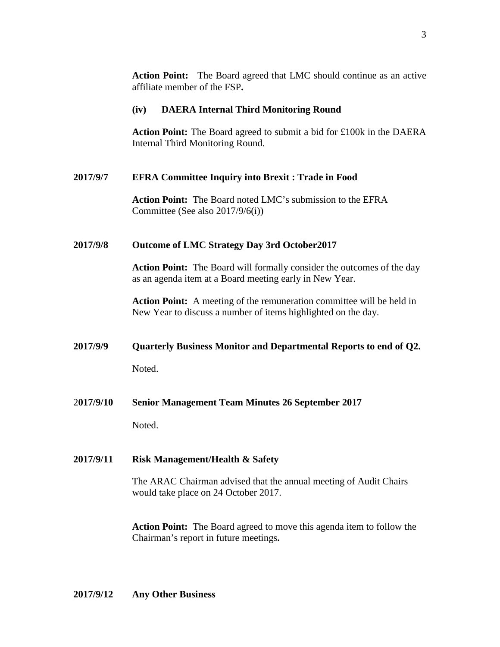**Action Point:** The Board agreed that LMC should continue as an active affiliate member of the FSP**.**

#### **(iv) DAERA Internal Third Monitoring Round**

**Action Point:** The Board agreed to submit a bid for £100k in the DAERA Internal Third Monitoring Round.

#### **2017/9/7 EFRA Committee Inquiry into Brexit : Trade in Food**

**Action Point:** The Board noted LMC's submission to the EFRA Committee (See also 2017/9/6(i))

# **2017/9/8 Outcome of LMC Strategy Day 3rd October2017**

**Action Point:** The Board will formally consider the outcomes of the day as an agenda item at a Board meeting early in New Year.

**Action Point:** A meeting of the remuneration committee will be held in New Year to discuss a number of items highlighted on the day.

# **2017/9/9 Quarterly Business Monitor and Departmental Reports to end of Q2.**

Noted.

2**017/9/10 Senior Management Team Minutes 26 September 2017**

Noted.

#### **2017/9/11 Risk Management/Health & Safety**

The ARAC Chairman advised that the annual meeting of Audit Chairs would take place on 24 October 2017.

**Action Point:** The Board agreed to move this agenda item to follow the Chairman's report in future meetings**.**